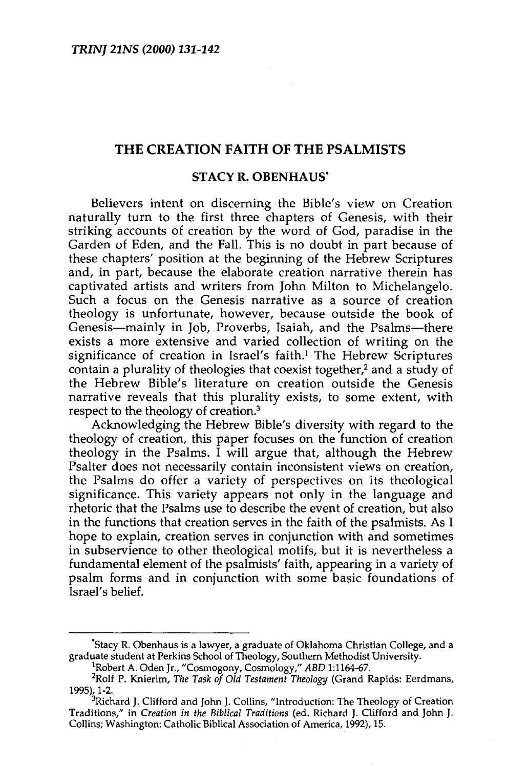## THE CREATION FAITH OF THE PSALMISTS

# STACY R. OBENHAUS"

Believers intent on discerning the Bible's view on Creation naturally turn to the first three chapters of Genesis, with their striking accounts of creation by the word of God, paradise in the Garden of Eden, and the Fall. This is no doubt in part because of these chapters' position at the beginning of the Hebrew Scriptures and, in part, because the elaborate creation narrative therein has captivated artists and writers from John Milton to Michelangelo. Such a focus on the Genesis narrative as a source of creation theology is unfortunate, however, because outside the book of Genesis-mainly in Job, Proverbs, Isaiah, and the Psalms-there exists a more extensive and varied collection of writing on the significance of creation in Israel's faith.<sup>1</sup> The Hebrew Scriptures contain a plurality of theologies that coexist together,<sup>2</sup> and a study of the Hebrew Bible's literature on creation outside the Genesis narrative reveals that this plurality exists, to some extent, with respect to the theology of creation.3

Acknowledging the Hebrew Bible's diversity with regard to the theology of creation, this paper focuses on the function of creation theology in the Psalms. I will argue that, although the Hebrew Psalter does not necessarily contain inconsistent views on creation, the Psalms do offer a variety of perspectives on its theological significance. This variety appears not only in the language and rhetoric that the Psalms use to describe the event of creation, but also in the functions that creation serves in the faith of the psalmists. As I hope to explain, creation serves in conjunction with and sometimes in subservience to other theological motifs, but it is nevertheless a fundamental element of the psalmists' faith, appearing in a variety of psalm forms and in conjunction with some basic foundations of Israel's belief.

<sup>&</sup>quot;Stacy R. Obenhaus is a lawyer, a graduate of Oklahoma Christian College, and a graduate student at Perkins School of Theology, Southern Methodist University. 1

Robert A. Oden Jr., "Cosmogony, Cosmology," *ABO* 1:1164-67. 2

Rolf P. Knierim, *The Task of Old Testament Theology* (Grand Rapids: Eerdmans, 1995), 1-2. 3Richard J., Clifford and John J. Collins, "Introduction: The Theology of Creation

Traditions," in *Creation in the Biblical Traditions* (ed. Richard J. Clifford and John J. Traditions," in Creation in the Biblical Traditions (ed. Richard J. Clifford and John J.<br>Collins; Washington: Catholic Biblical Association of America, 1992), 15.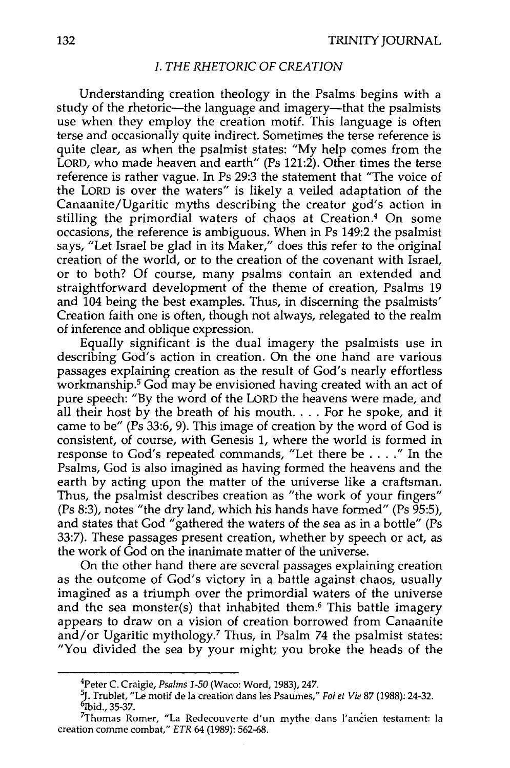## *I. THE RHETORIC OF CREATION*

Understanding creation theology in the Psalms begins with a study of the rhetoric—the language and imagery—that the psalmists use when they employ the creation motif. This language is often terse and occasionally quite indirect. Sometimes the terse reference is quite clear, as when the psalmist states: "My help comes from the LORD, who made heaven and earth" (Ps 121:2). Other times the terse reference is rather vague. In Ps 29:3 the statement that "The voice of the LORD is over the waters" is likely a veiled adaptation of the Canaanite/Ugaritic myths describing the creator god's action in stilling the primordial waters of chaos at Creation.<sup>4</sup> On some occasions, the reference is ambiguous. When in Ps 149:2 the psalmist says, "Let Israel be glad in its Maker," does this refer to the original creation of the world, or to the creation of the covenant with Israel, or to both? Of course, many psalms contain an extended and straightforward development of the theme of creation, Psalms 19 and 104 being the best examples. Thus, in discerning the psalmists' Creation faith one is often, though not always, relegated to the realm of inference and oblique expression.

Equally significant is the dual imagery the psalmists use in describing God's action in creation. On the one hand are various passages explaining creation as the result of God's nearly effortless workmanship.5 God may be envisioned having created with an act of pure speech: "By the word of the LORD the heavens were made, and all their host by the breath of his mouth.  $\ldots$  For he spoke, and it came to be" (Ps 33:6, 9). This image of creation by the word of God is consistent, of course, with Genesis 1, where the world is formed in response to God's repeated commands, "Let there be .... " In the Psalms, God is also imagined as having formed the heavens and the earth by acting upon the matter of the universe like a craftsman. Thus, the psalmist describes creation as "the work of your fingers" (Ps 8:3), notes "the dry land, which his hands have formed" (Ps 95:5), and states that God "gathered the waters of the sea as in a bottle" (Ps 33:7). These passages present creation, whether by speech or act, as the work of God on the inanimate matter of the universe.

On the other hand there are several passages explaining creation as the outcome of God's victory in a battle against chaos, usually imagined as a triumph over the primordial waters of the universe and the sea monster(s) that inhabited them.<sup>6</sup> This battle imagery appears to draw on a vision of creation borrowed from Canaanite and/or Ugaritic mythology.7 Thus, in Psalm 74 the psalmist states: "You divided the sea by your might; you broke the heads of the

<sup>4</sup> Peter C. Craigie, *Psalms 1-50* (Waco: Word, 1983), 247.

<sup>~·</sup> !rublet, "Le motif de Ia creation dans les Psaumes," *Foi et Vie* 87 (1988): 24-32. Is framed, the month de la creation dans les r saumes, *roi et vie* of (1900). 24-32.<br>Did., 35-37.<br>Thomas Romer, "La Redecouverte d'un mythe dans l'ancien testament: Is

<sup>&</sup>lt;sup>7</sup>Thomas Romer, "La Redecouverte d'un mythe dans l'ancien testament: la creation comme combat," *ETR* 64 (1989): 562-68.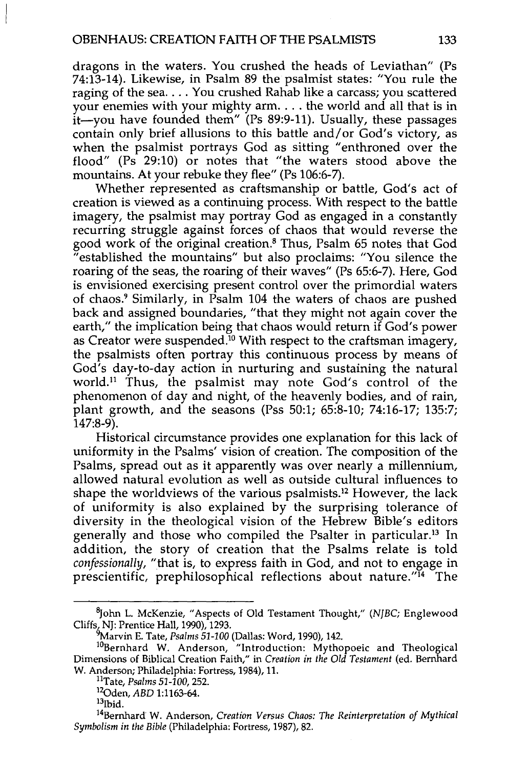dragons in the waters. You crushed the heads of Leviathan" (Ps 74:13-14). Likewise, in Psalm 89 the psalmist states: "You rule the raging of the sea .... You crushed Rahab like a carcass; you scattered your enemies with your mighty arm... the world and all that is in it—you have founded them" (Ps 89:9-11). Usually, these passages contain only brief allusions to this battle and/ or God's victory, as when the psalmist portrays God as sitting "enthroned over the flood" (Ps 29:10) or notes that "the waters stood above the mountains. At your rebuke they flee" (Ps 106:6-7).

Whether represented as craftsmanship or battle, God's act of creation is viewed as a continuing process. With respect to the battle imagery, the psalmist may portray God as engaged in a constantly recurring struggle against forces of chaos that would reverse the good work of the original creation.8 Thus, Psalm 65 notes that God "established the mountains" but also proclaims: "You silence the roaring of the seas, the roaring of their waves" (Ps 65:6-7). Here, God is envisioned exercising present control over the primordial waters of chaos.9 Similarly, in Psalm 104 the waters of chaos are pushed back and assigned boundaries, "that they might not again cover the earth," the implication being that chaos would return if God's power as Creator were suspended.<sup>10</sup> With respect to the craftsman imagery, the psalmists often portray this continuous process by means of God's day-to-day action in nurturing and sustaining the natural world.<sup>11</sup> Thus, the psalmist may note God's control of the phenomenon of day and night, of the heavenly bodies, and of rain, plant growth, and the seasons (Pss 50:1; 65:8-10; 74:16-17; 135:7; 147:8-9).

Historical circumstance provides one explanation for this lack of uniformity in the Psalms' vision of creation. The composition of the Psalms, spread out as it apparently was over nearly a millennium, allowed natural evolution as well as outside cultural influences to shape the worldviews of the various psalmists.12 However, the lack of uniformity is also explained by the surprising tolerance of diversity in the theological vision of the Hebrew Bible's editors generally and those who compiled the Psalter in particular.13 In addition, the story of creation that the Psalms relate is told *confessionally,* "that is, to express faith in God, and not to engage in prescientific, prephilosophical reflections about nature."<sup>14</sup> The

<sup>8</sup> John L. McKenzie, "Aspects of Old Testament Thought," *(NJBC;* Englewood Cliffs, NJ: Prentice Hall, 1990), 1293.

<sup>~</sup>arvin E. Tate, *Psalms 51-100* (Dallas: Word, 1990), 142. 1

<sup>&</sup>lt;sup>10</sup>Bernhard W. Anderson, "Introduction: Mythopoeic and Theological Dimensions of Biblical Creation Faith," in *Creation in the Old Testament* (ed. Bernhard W. Anderson; Philadelphia: Fortress, 1984), 11. 11Tate, *Psalms 51-100,* 252. 1

<sup>&</sup>lt;sup>12</sup>Oden, *ABD* 1:1163-64.<br><sup>13</sup>Ibid.

<sup>14</sup>Bernhard' W. Anderson, *Creation Versus Chaos: The Reinterpretation of Mythical Symbolism in the Bible* (Philadelphia: Fortress, 1987), 82.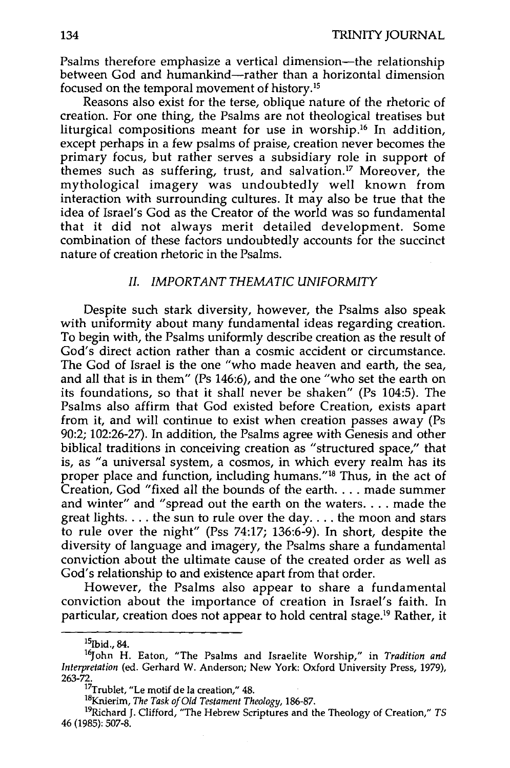Psalms therefore emphasize a vertical dimension—the relationship between God and humankind-rather than a horizontal dimension focused on the temporal movement of history. <sup>15</sup>

Reasons also exist for the terse, oblique nature of the rhetoric of creation. For one thing, the Psalms are not theological treatises but liturgical compositions meant for use in worship.<sup>16</sup> In addition, except perhaps in a few psalms of praise, creation never becomes the primary focus, but rather serves a subsidiary role in support of themes such as suffering, trust, and salvation.<sup>17</sup> Moreover, the mythological imagery was undoubtedly well known from interaction with surrounding cultures. It may also be true that the idea of Israel's God as the Creator of the world was so fundamental that it did not always merit detailed development. Some combination of these factors undoubtedly accounts for the succinct nature of creation rhetoric in the Psalms.

#### *II. IMPORTANT THEMATIC UNIFORMITY*

Despite such stark diversity, however, the Psalms also speak with uniformity about many fundamental ideas regarding creation. To begin with, the Psalms uniformly describe creation as the result of God's direct action rather than a cosmic accident or circumstance. The God of Israel is the one "who made heaven and earth, the sea, and all that is in them" (Ps 146:6), and the one "who set the earth on its foundations, so that it shall never be shaken" (Ps 104:5). The Psalms also affirm that God existed before Creation, exists apart from it, and will continue to exist when creation passes away ( $Ps$ 90:2; 102:26-27). In addition, the Psalms agree with Genesis and other biblical traditions in conceiving creation as "structured space," that is, as "a universal system, a cosmos, in which every realm has its proper place and function, including humans."18 Thus, in the act of Creation, God "fixed all the bounds of the earth. . . . made summer and winter" and "spread out the earth on the waters .... made the great lights.  $\dots$  the sun to rule over the day.  $\dots$  the moon and stars to rule over the night" (Pss 74:17; 136:6-9). In short, despite the diversity of language and imagery, the Psalms share a fundamental conviction about the ultimate cause of the created order as well as God's relationship to and existence apart from that order.

However, the Psalms also appear to share a fundamental conviction about the importance of creation in Israel's faith. In particular, creation does not appear to hold central stage.19 Rather, it

<sup>15</sup>Ibid., 84. 16John H. Eaton, "The Psalms and Israelite Worship," in *Tradition and Interpretation* (ed. Gerhard W. Anderson; New York: Oxford University Press, 1979), 263-72.<br>
17Trublet, "Le motif de la creation," A8.<br>
<sup>17</sup>Trublet, "Le motif de la creation," 48.<br>
<sup>18</sup>Knierim, *The Task of Old Testament Theology*, 186-87.

<sup>&</sup>lt;sup>19</sup>Richard J. Clifford, "The Hebrew Scriptures and the Theology of Creation,"  $TS$  46 (1985): 507-8.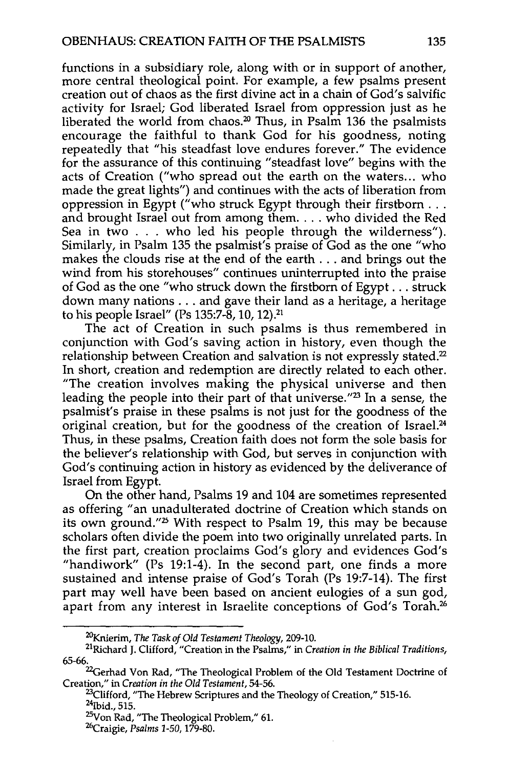functions in a subsidiary role, along with or in support of another, more central theological point. For example, a few psalms present creation out of chaos as the first divine act in a chain of God's salvific activity for Israel; God liberated Israel from oppression just as he liberated the world from chaos.<sup>20</sup> Thus, in Psalm 136 the psalmists encourage the faithful to thank God for his goodness, noting repeatedly that "his steadfast love endures forever." The evidence for the assurance of this continuing "steadfast love" begins with the acts of Creation ("who spread out the earth on the waters... who made the great lights") and continues with the acts of liberation from oppression in Egypt ("who struck Egypt through their firstborn ... ppression in Egypt ("who struck Egypt through their firstborn . . .<br>nd brought Israel out from among them. . . . who divided the Red<br>lea in two . . . who led his people through the wilderness"). Sea in two . . . who led his people through the wilderness").<br>Similarly, in Psalm 135 the psalmist's praise of God as the one "who makes the clouds rise at the end of the earth ... and brings out the wind from his storehouses" continues uninterrupted into the praise of God as the one "who struck down the firstborn of Egypt ... struck down many nations ... and gave their land as a heritage, a heritage to his people Israel" (Ps 135:7-8, 10, 12).21

The act of Creation in such psalms is thus remembered in conjunction with God's saving action in history, even though the relationship between Creation and salvation is not expressly stated.<sup>22</sup> In short, creation and redemption are directly related to each other. "The creation involves making the physical universe and then leading the people into their part of that universe."<sup>23</sup> In a sense, the psalmist's praise in these psalms is not just for the goodness of the original creation, but for the goodness of the creation of Israel.<sup>24</sup> Thus, in these psalms, Creation faith does not form the sole basis for the believer's relationship with God, but serves in conjunction with God's continuing action in history as evidenced by the deliverance of Israel from Egypt.

On the other hand, Psalms 19 and 104 are sometimes represented as offering "an unadulterated doctrine of Creation which stands on its own ground.<sup>"25</sup> With respect to Psalm 19, this may be because scholars often divide the poem into two originally unrelated parts. In the first part, creation proclaims God's glory and evidences God's "handiwork" (Ps 19:1-4). In the second part, one finds a more sustained and intense praise of God's Torah (Ps 19:7-14). The first part may well have been based on ancient eulogies of a sun god, apart from any interest in Israelite conceptions of God's Torah.<sup>26</sup>

<sup>&</sup>lt;sup>20</sup>Knierim, *The Task of Old Testament Theology, 209-10.*<br><sup>21</sup>Richard J. Clifford, "Creation in the Psalms," in *Creation in the Biblical Traditions*, 65-66.

<sup>&</sup>lt;sup>22</sup>Gerhad Von Rad, "The Theological Problem of the Old Testament Doctrine of

Creation," in Creation in the Old Testament, 54-56.<br><sup>23</sup>Clifford, "The Hebrew Scriptures and the Theology of Creation," 515-16.<br><sup>24</sup>Ibid., 515.<br><sup>25</sup>Von Rad, "The Theological Problem," 61.<br><sup>26</sup>Craigie, *Psalms* 1-50, 179-80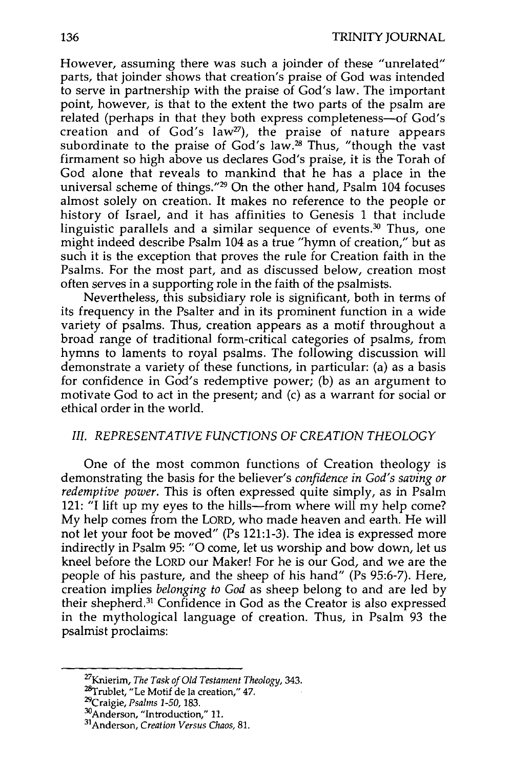However, assuming there was such a joinder of these "unrelated" parts, that joinder shows that creation's praise of God was intended to serve in partnership with the praise of God's law. The important point, however, is that to the extent the two parts of the psalm are related (perhaps in that they both express completeness-of God's creation and of God's  $law^{27}$ , the praise of nature appears subordinate to the praise of God's law.<sup>28</sup> Thus, "though the vast firmament so high above us declares God's praise, it is the Torah of God alone that reveals to mankind that he has a place in the universal scheme of things."29 On the other hand, Psalm 104 focuses almost solely on creation. It makes no reference to the people or history of Israel, and it has affinities to Genesis 1 that include linguistic parallels and a similar sequence of events. $30$  Thus, one might indeed describe Psalm 104 as a true "hymn of creation," but as such it is the exception that proves the rule for Creation faith in the Psalms. For the most part, and as discussed below, creation most often serves in a supporting role in the faith of the psalmists.

Nevertheless, this subsidiary role is significant, both in terms of its frequency in the Psalter and in its prominent function in a wide variety of psalms. Thus, creation appears as a motif throughout a broad range of traditional form-critical categories of psalms, from hymns to laments to royal psalms. The following discussion will demonstrate a variety of these functions, in particular: (a) as a basis for confidence in God's redemptive power; (b) as an argument to motivate God to act in the present; and (c) as a warrant for social or ethical order in the world.

## *III. REPRESENTATIVE FUNCTIONS OF CREATION THEOLOGY*

One of the most common functions of Creation theology is demonstrating the basis for the believer's *confidence in God's saving or redemptive power.* This is often expressed quite simply, as in Psalm 121: "I lift up my eyes to the hills—from where will my help come? My help comes from the LORD, who made heaven and earth. He will not let your foot be moved" (Ps 121:1-3). The idea is expressed more indirectly in Psalm 95: "0 come, let us worship and bow down, let us kneel before the LORD our Maker! For he is our God, and we are the people of his pasture, and the sheep of his hand" (Ps 95:6-7). Here, creation implies *belonging to God* as sheep belong to and are led by their shepherd. 31 Confidence in God as the Creator is also expressed in the mythological language of creation. Thus, in Psalm 93 the psalmist proclaims:

<sup>27</sup>Knierim, *The Task of Old Testament Theology,* 343.

<sup>:</sup>z&rrublet, "Le Motif de Ia creation," 47. 29Craigie, *Psalms 1-50,* 183. 30Anderson, "Introduction," 11. 31Anderson, *Creation Versus Chaos,* 81.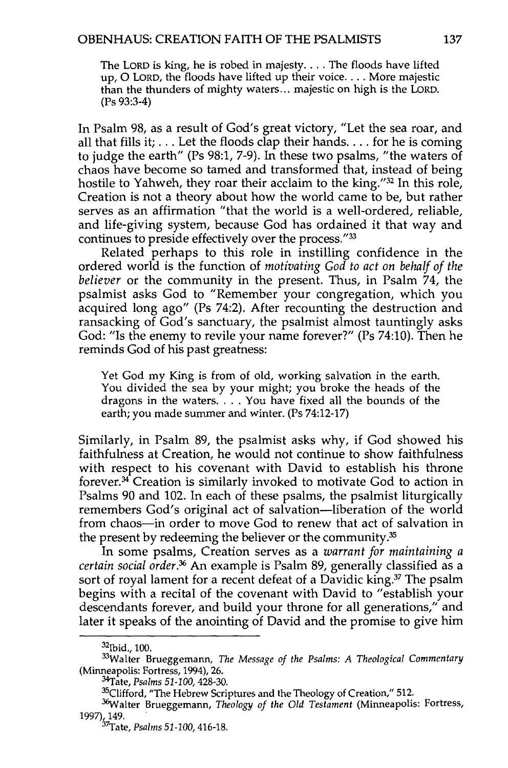The LORD is king, he is robed in majesty .... The floods have lifted up, 0 LORD, the floods have lifted up their voice .... More majestic than the thunders of mighty waters ... majestic on high is the LORD. (Ps 93:3-4)

In Psalm 98, as a result of God's great victory, "Let the sea roar, and all that fills it;  $\dots$  Let the floods clap their hands.  $\dots$  for he is coming to judge the earth" (Ps 98:1, 7-9). In these two psalms, "the waters of chaos have become so tamed and transformed that, instead of being hostile to Yahweh, they roar their acclaim to the king."32 In this role, Creation is not a theory about how the world came to be, but rather serves as an affirmation "that the world is a well-ordered, reliable, and life-giving system, because God has ordained it that way and continues to preside effectively over the process."33

Related perhaps to this role in instilling confidence in the ordered world is the function of *motivating God to act on behalf of the believer* or the community in the present. Thus, in Psalm 74, the psalmist asks God to "Remember your congregation, which you acquired long ago" (Ps 74:2). After recounting the destruction and ransacking of God's sanctuary, the psalmist almost tauntingly asks God: "Is the enemy to revile your name forever?" (Ps 74:10). Then he reminds God of his past greatness:

Yet God my King is from of old, working salvation in the earth. You divided the sea by your might; you broke the heads of the dragons in the waters .... You have fixed all the bounds of the earth; you made summer and winter. (Ps 74:12-17)

Similarly, in Psalm 89, the psalmist asks why, if God showed his faithfulness at Creation, he would not continue to show faithfulness with respect to his covenant with David to establish his throne forever. 34 Creation is similarly invoked to motivate God to action in Psalms 90 and 102. In each of these psalms, the psalmist liturgically remembers God's original act of salvation-liberation of the world from chaos-in order to move God to renew that act of salvation in the present by redeeming the believer or the community.35

In some psalms, Creation serves as a *warrant for maintaining a certain social order.36* An example is Psalm 89, generally classified as a sort of royal lament for a recent defeat of a Davidic king.<sup>37</sup> The psalm begins with a recital of the covenant with David to "establish your descendants forever, and build your throne for all generations," and later it speaks of the anointing of David and the promise to give him

<sup>32</sup>Ibid., 100.

<sup>33</sup>Walter Brueggemann, *The Message of the Psalms: A Theological Commentary*  (Minneapolis: Fortress, 1994), 26.

<sup>&</sup>lt;sup>34</sup>Tate*, Psalms 51-100, 4*28-30.<br><sup>35</sup>Clifford, "The Hebrew Scriptures and the Theology of Creation," 512.

<sup>&</sup>lt;sup>36</sup>Walter Brueggemann, *Theology of the Old Testament* (Minneapolis: Fortress, 1997), 149.<br><sup>37</sup>Tate, *Psalms* 51-100, 416-18.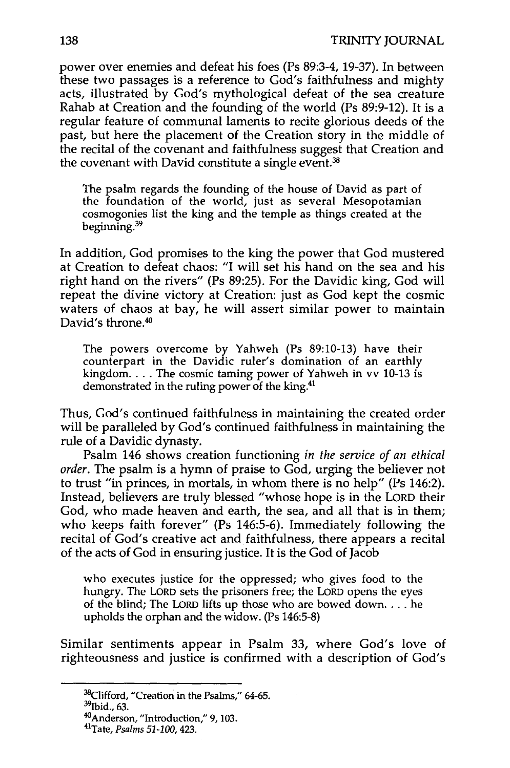power over enemies and defeat his foes (Ps 89:3-4, 19-37). In between these two passages is a reference to God's faithfulness and mighty acts, illustrated by God's mythological defeat of the sea creature Rahab at Creation and the founding of the world (Ps 89:9-12). It is a regular feature of communal laments to recite glorious deeds of the past, but here the placement of the Creation story in the middle of the recital of the covenant and faithfulness suggest that Creation and the covenant with David constitute a single event.<sup>38</sup>

The psalm regards the founding of the house of David as part of the foundation of the world, just as several Mesopotamian cosmogonies list the king and the temple as things created at the beginning. 39

In addition, God promises to the king the power that God mustered at Creation to defeat chaos: "I will set his hand on the sea and his right hand on the rivers" (Ps 89:25). For the Davidic king, God will repeat the divine victory at Creation: just as God kept the cosmic waters of chaos at bay, he will assert similar power to maintain David's throne.<sup>40</sup>

The powers overcome by Yahweh (Ps 89:10-13) have their counterpart in the Davidic ruler's domination of an earthly kingdom.  $\ldots$ . The cosmic taming power of Yahweh in vv 10-13 is demonstrated in the ruling power of the king.41

Thus, God's continued faithfulness in maintaining the created order will be paralleled by God's continued faithfulness in maintaining the rule of a Davidic dynasty.

Psalm 146 shows creation functioning *in the service of an ethical order.* The psalm is a hymn of praise to God, urging the believer not to trust "in princes, in mortals, in whom there is no help" (Ps 146:2). Instead, believers are truly blessed "whose hope is in the LORD their God, who made heaven and earth, the sea, and all that is in them; who keeps faith forever" (Ps 146:5-6). Immediately following the recital of God's creative act and faithfulness, there appears a recital of the acts of God in ensuring justice. It is the God of Jacob

who executes justice for the oppressed; who gives food to the hungry. The LORD sets the prisoners free; the LORD opens the eyes of the blind; The LORD lifts up those who are bowed down .... he upholds the orphan and the widow. (Ps 146:5-8)

Similar sentiments appear in Psalm 33, where God's love of righteousness and justice is confirmed with a description of God's

 $38$ Clifford, "Creation in the Psalms," 64-65.<br> $39$ Thid... 63.

<sup>&#</sup>x27;Thid., 63. 40Anderson, "Introduction," 9, 103. 41Tate, *Psalms* 51-100,423.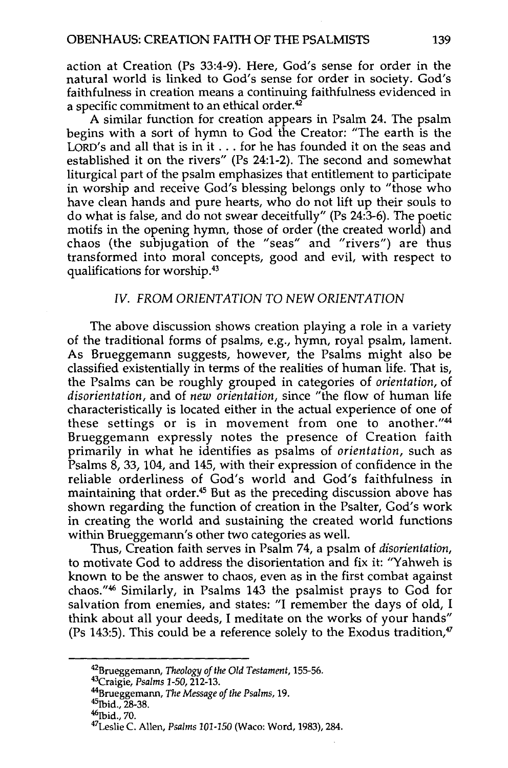action at Creation (Ps 33:4-9). Here, God's sense for order in the natural world is linked to God's sense for order in society. God's faithfulness in creation means a continuing faithfulness evidenced in a specific commitment to an ethical order. $42$ 

A similar function for creation appears in Psalm 24. The psalm begins with a sort of hymn to God the Creator: "The earth is the LORD's and all that is in it  $\dots$  for he has founded it on the seas and established it on the rivers" (Ps 24:1-2). The second and somewhat liturgical part of the psalm emphasizes that entitlement to participate in worship and receive God's blessing belongs only to "those who have clean hands and pure hearts, who do not lift up their souls to do what is false, and do not swear deceitfully" (Ps 24:3-6). The poetic motifs in the opening hymn, those of order (the created world) and chaos (the subjugation of the "seas" and "rivers") are thus transformed into moral concepts, good and evil, with respect to qualifications for worship.43

## IV. FROM ORIENTATION TO NEW ORIENTATION

The above discussion shows creation playing a role in a variety of the traditional forms of psalms, e.g., hymn, royal psalm, lament. As Brueggemann suggests, however, the Psalms might also be classified existentially in terms of the realities of human life. That is, the Psalms can be roughly grouped in categories of *orientation,* of *disorientation,* and of *new orientation,* since "the flow of human life characteristically is located either in the actual experience of one of these settings or is in movement from one to another."<sup>44</sup> Brueggemann expressly notes the presence of Creation faith primarily in what he identifies as psalms of *orientation,* such as Psalms 8, 33, 104, and 145, with their expression of confidence in the reliable orderliness of God's world and God's faithfulness in maintaining that order.<sup>45</sup> But as the preceding discussion above has shown regarding the function of creation in the Psalter, God's work in creating the world and sustaining the created world functions within Brueggemann's other two categories as well.

Thus, Creation faith serves in Psalm 74, a psalm of *disorientation,*  to motivate God to address the disorientation and fix it: "Yahweh is known to be the answer to chaos, even as in the first combat against chaos."46 Similarly, in Psalms 143 the psalmist prays to God for salvation from enemies, and states: "I remember the days of old, I think about all your deeds, I meditate on the works of your hands" (Ps 143:5). This could be a reference solely to the Exodus tradition, $\frac{1}{2}$ 

<sup>&</sup>lt;sup>42</sup>Brueggemann, *Theology of the Old Testament*, 155-56.<br><sup>43</sup>Craigie, *Psalms* 1-50, 212-13.<br><sup>44</sup>Brueggemann, *The Message of the Psalms*, 19.<br><sup>45</sup>Ibid., 28-38.<br><sup>46</sup>Ibid., 70.<br><sup>47</sup>Leslie C. Allen, *Psalms* 101-150 (Waco: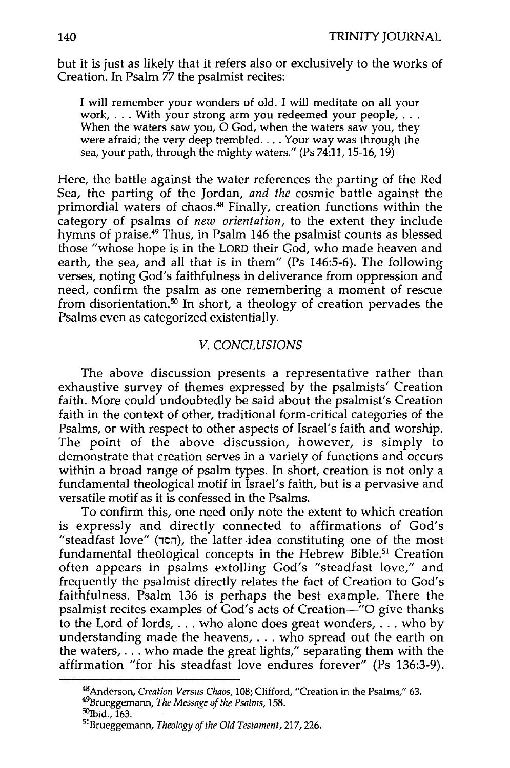but it is just as likely that it refers also or exclusively to the works of It It is just as fixely that it refers also of e

will remember your wonders of old. I will meditate on all your<br>ork, ... With your strong arm you redeemed your people  $\mathsf{Berk}, \ldots$  with your strong arm you redeemed your people,  $\ldots$  hen the waters saw you, they have the very dependence of  $\mathsf{Bok}$ . were afraid; the very deep trembled.... Your way was through the sea, your path, through the mighty waters." (Ps 74:11, 15-16, 19)

Here, the battle against the water references the parting of the Red Sea, the parting of the Jordan, *and the* cosmic battle against the primordial waters of chaos.<sup>48</sup> Finally, creation functions within the category of psalms of *new orientation,* to the extent they include hymns of praise.49 Thus, in Psalm 146 the psalmist counts as blessed those "whose hope is in the LORD their God, who made heaven and earth, the sea, and all that is in them" (Ps 146:5-6). The following verses, noting God's faithfulness in deliverance from oppression and need, confirm the psalm as one remembering a moment of rescue from disorientation.<sup>50</sup> In short, a theology of creation pervades the Psalms even as categorized existentially.

# *V. CONCLUSIONS*

The above discussion presents a representative rather than exhaustive survey of themes expressed by the psalmists' Creation faith. More could undoubtedly be said about the psalmist's Creation ful. More could undoubledly be said about the psalmist's Creation<br>ith in the context of other, traditional form-critical categories of the not in the context of other, traditional form-critical categories of the<br>plug or with respect to other consets of Israel's faith and worship. Psalms, or with respect to other aspects of Israel's faith and worship.<br>The point of the above discussion, however, is simply to demonstrate that creation serves in a variety of functions and occurs within a broad range of psalm types. In short, creation is not only a fundamental theological motif in Israel's faith, but is a pervasive and redited to the complete mother in the Brahman contribution of the Psalms.

versatile motif as it is confessed in the Psalms.<br>To confirm this, one need only note the extent to which creation is expressly and directly connected to affirmations of God's expressly and directly connected to all maturities of the most fundamental theological concepts in the Hebrew Bible T Creation muamental theological concepts in the Hebrew Dible." Creation<br>item appears in psalms extelling God's "steadfast love," and frequently the psalmist extensive God's Steaurast 1000, and faithfulness. Psalm 136 is perhaps the best example. There the produces. Psalm 136 is perhaps the best example. There the psalmist recites examples of God's acts of Creation—"O give thanks to the Lord of lords,  $\dots$  who alone does great wonders,  $\dots$  who by understanding made the heavens,  $\ldots$  who spread out the earth on the waters,  $\dots$  who made the great lights," separating them with the affirmation "for his steadfast love endures forever" (Ps 136:3-9).

<sup>48</sup>Anderson, *Creation Versus Chaos,* 108; Clifford, "Creation in the Psalms," 63. 4 '13rueggemann, *The Message of the Psalms,* 158. <sup>49</sup>Brueggemann, *The Message of the Psalms*, 158.<br><sup>50</sup>Ibid., 163.<br><sup>51</sup>Brueggemann, *Theology of the Old Testament,* 217, 226.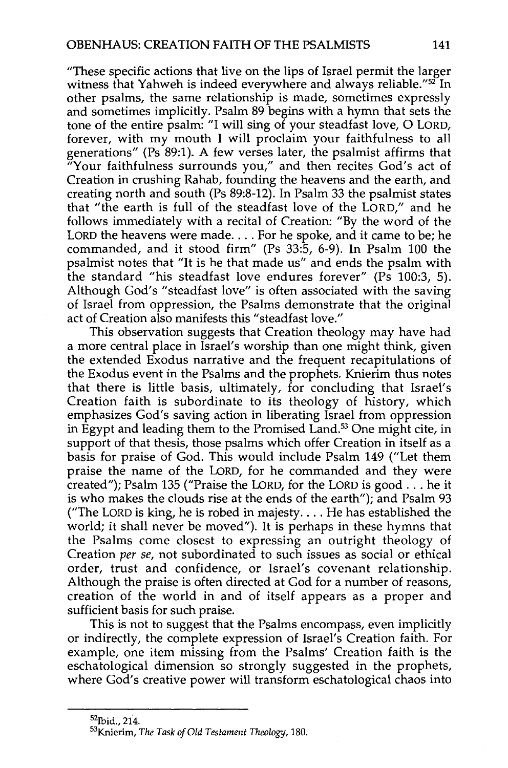"These specific actions that live on the lips of Israel permit the larger witness that Yahweh is indeed everywhere and always reliable."<sup>52</sup> In other psalms, the same relationship is made, sometimes expressly and sometimes implicitly. Psalm 89 begins with a hymn that sets the tone of the entire psalm: "I will sing of your steadfast love, 0 LORD, forever, with my mouth I will proclaim your faithfulness to all generations" (Ps 89:1). A few verses later, the psalmist affirms that "Your faithfulness surrounds you," and then recites God's act of Creation in crushing Rahab, founding the heavens and the earth, and creating north and south (Ps 89:8-12). In Psalm 33 the psalmist states that "the earth is full of the steadfast love of the LORD," and he follows immediately with a recital of Creation: "By the word of the LORD the heavens were made.... For he spoke, and it came to be; he commanded, and it stood firm" (Ps 33:5, 6-9). In Psalm 100 the psalmist notes that "It is he that made us" and ends the psalm with the standard "his steadfast love endures forever" ( $\overline{Ps}$  100:3, 5). Although God's "steadfast love" is often associated with the saving of Israel from oppression, the Psalms demonstrate that the original act of Creation also manifests this "steadfast love."

This observation suggests that Creation theology may have had a more central place in Israel's worship than one might think, given the extended Exodus narrative and the frequent recapitulations of the Exodus event in the Psalms and the prophets. Knierim thus notes that there is little basis, ultimately, for concluding that Israel's Creation faith is subordinate to its theology of history, which emphasizes God's saving action in liberating Israel from oppression in Egypt and leading them to the Promised Land.<sup>53</sup> One might cite, in support of that thesis, those psalms which offer Creation in itself as a basis for praise of God. This would include Psalm 149 ("Let them praise the name of the LORD, for he commanded and they were created"); Psalm 135 ("Praise the LORD, for the LORD is good ... he it is who makes the clouds rise at the ends of the earth"); and Psalm 93 ("The LORD is king, he is robed in majesty.... He has established the world; it shall never be moved"). It is perhaps in these hymns that the Psalms come closest to expressing an outright theology of Creation *per se,* not subordinated to such issues as social or ethical order, trust and confidence, or Israel's covenant relationship. Although the praise is often directed at God for a number of reasons, creation of the world in and of itself appears as a proper and sufficient basis for such praise.

This is not to suggest that the Psalms encompass, even implicitly or indirectly, the complete expression of Israel's Creation faith. For example, one item missing from the Psalms' Creation faith is the eschatological dimension so strongly suggested in the prophets, where God's creative power will transform eschatological chaos into

<sup>&</sup>lt;sup>52</sup>Ibid., 214.<br><sup>53</sup>Knierim, *The Task of Old Testament Theology,* 180.